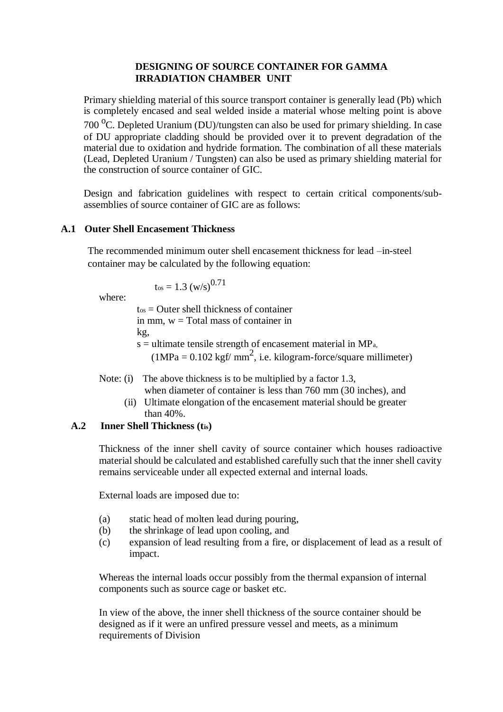## **DESIGNING OF SOURCE CONTAINER FOR GAMMA IRRADIATION CHAMBER UNIT**

Primary shielding material of this source transport container is generally lead (Pb) which is completely encased and seal welded inside a material whose melting point is above 700  $^{\circ}$ C. Depleted Uranium (DU)/tungsten can also be used for primary shielding. In case of DU appropriate cladding should be provided over it to prevent degradation of the material due to oxidation and hydride formation. The combination of all these materials (Lead, Depleted Uranium / Tungsten) can also be used as primary shielding material for the construction of source container of GIC.

Design and fabrication guidelines with respect to certain critical components/subassemblies of source container of GIC are as follows:

### **A.1 Outer Shell Encasement Thickness**

The recommended minimum outer shell encasement thickness for lead –in-steel container may be calculated by the following equation:

$$
t_{\rm os}=1.3~\mathrm{(w/s)}^{0.71}
$$

where:

 $t<sub>os</sub> =$  Outer shell thickness of container in mm,  $w = Total mass of container in$ kg,  $s =$  ultimate tensile strength of encasement material in MP<sub>a</sub>,  $(1MPa = 0.102 \text{ kgf/mm}^2, i.e. \text{ kilogram-force/square millimeter})$ 

- Note: (i) The above thickness is to be multiplied by a factor 1.3,
	- when diameter of container is less than 760 mm (30 inches), and (ii) Ultimate elongation of the encasement material should be greater than 40%.

# **A.2 Inner Shell Thickness (tis)**

Thickness of the inner shell cavity of source container which houses radioactive material should be calculated and established carefully such that the inner shell cavity remains serviceable under all expected external and internal loads.

External loads are imposed due to:

- (a) static head of molten lead during pouring,
- (b) the shrinkage of lead upon cooling, and
- (c) expansion of lead resulting from a fire, or displacement of lead as a result of impact.

Whereas the internal loads occur possibly from the thermal expansion of internal components such as source cage or basket etc.

In view of the above, the inner shell thickness of the source container should be designed as if it were an unfired pressure vessel and meets, as a minimum requirements of Division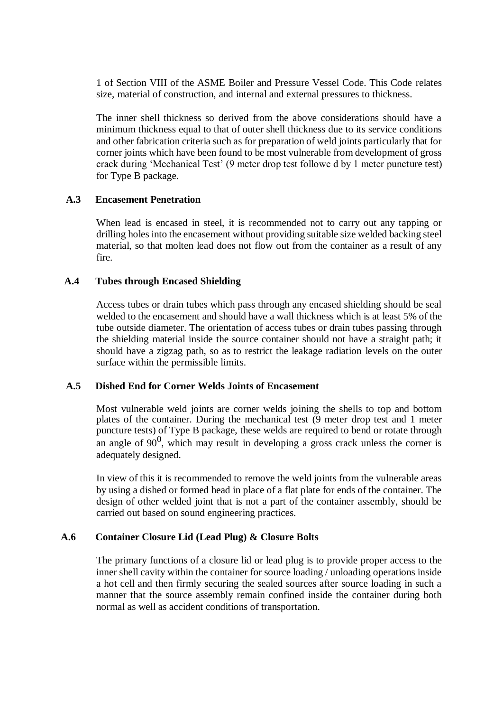1 of Section VIII of the ASME Boiler and Pressure Vessel Code. This Code relates size, material of construction, and internal and external pressures to thickness.

The inner shell thickness so derived from the above considerations should have a minimum thickness equal to that of outer shell thickness due to its service conditions and other fabrication criteria such as for preparation of weld joints particularly that for corner joints which have been found to be most vulnerable from development of gross crack during 'Mechanical Test' (9 meter drop test followe d by 1 meter puncture test) for Type B package.

## **A.3 Encasement Penetration**

When lead is encased in steel, it is recommended not to carry out any tapping or drilling holes into the encasement without providing suitable size welded backing steel material, so that molten lead does not flow out from the container as a result of any fire.

## **A.4 Tubes through Encased Shielding**

Access tubes or drain tubes which pass through any encased shielding should be seal welded to the encasement and should have a wall thickness which is at least 5% of the tube outside diameter. The orientation of access tubes or drain tubes passing through the shielding material inside the source container should not have a straight path; it should have a zigzag path, so as to restrict the leakage radiation levels on the outer surface within the permissible limits.

### **A.5 Dished End for Corner Welds Joints of Encasement**

Most vulnerable weld joints are corner welds joining the shells to top and bottom plates of the container. During the mechanical test (9 meter drop test and 1 meter puncture tests) of Type B package, these welds are required to bend or rotate through an angle of  $90^0$ , which may result in developing a gross crack unless the corner is adequately designed.

In view of this it is recommended to remove the weld joints from the vulnerable areas by using a dished or formed head in place of a flat plate for ends of the container. The design of other welded joint that is not a part of the container assembly, should be carried out based on sound engineering practices.

# **A.6 Container Closure Lid (Lead Plug) & Closure Bolts**

The primary functions of a closure lid or lead plug is to provide proper access to the inner shell cavity within the container for source loading / unloading operations inside a hot cell and then firmly securing the sealed sources after source loading in such a manner that the source assembly remain confined inside the container during both normal as well as accident conditions of transportation.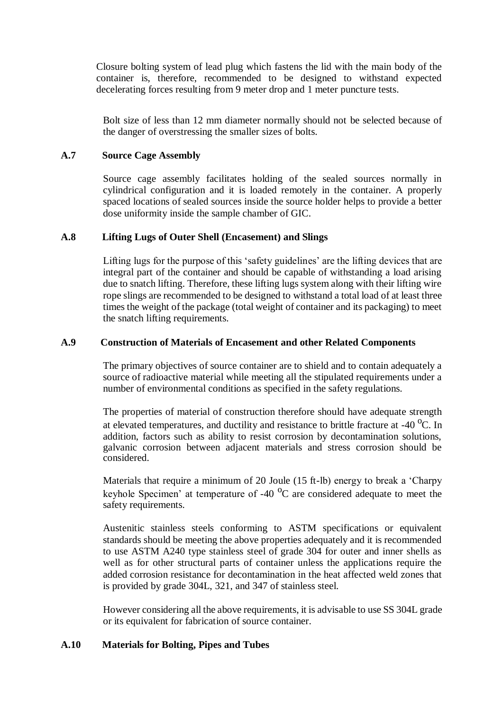Closure bolting system of lead plug which fastens the lid with the main body of the container is, therefore, recommended to be designed to withstand expected decelerating forces resulting from 9 meter drop and 1 meter puncture tests.

Bolt size of less than 12 mm diameter normally should not be selected because of the danger of overstressing the smaller sizes of bolts.

## **A.7 Source Cage Assembly**

Source cage assembly facilitates holding of the sealed sources normally in cylindrical configuration and it is loaded remotely in the container. A properly spaced locations of sealed sources inside the source holder helps to provide a better dose uniformity inside the sample chamber of GIC.

### **A.8 Lifting Lugs of Outer Shell (Encasement) and Slings**

Lifting lugs for the purpose of this 'safety guidelines' are the lifting devices that are integral part of the container and should be capable of withstanding a load arising due to snatch lifting. Therefore, these lifting lugs system along with their lifting wire rope slings are recommended to be designed to withstand a total load of at least three times the weight of the package (total weight of container and its packaging) to meet the snatch lifting requirements.

## **A.9 Construction of Materials of Encasement and other Related Components**

The primary objectives of source container are to shield and to contain adequately a source of radioactive material while meeting all the stipulated requirements under a number of environmental conditions as specified in the safety regulations.

The properties of material of construction therefore should have adequate strength at elevated temperatures, and ductility and resistance to brittle fracture at  $-40$  °C. In addition, factors such as ability to resist corrosion by decontamination solutions, galvanic corrosion between adjacent materials and stress corrosion should be considered.

Materials that require a minimum of 20 Joule (15 ft-lb) energy to break a 'Charpy keyhole Specimen' at temperature of  $-40\,^{\circ}\text{C}$  are considered adequate to meet the safety requirements.

Austenitic stainless steels conforming to ASTM specifications or equivalent standards should be meeting the above properties adequately and it is recommended to use ASTM A240 type stainless steel of grade 304 for outer and inner shells as well as for other structural parts of container unless the applications require the added corrosion resistance for decontamination in the heat affected weld zones that is provided by grade 304L, 321, and 347 of stainless steel.

However considering all the above requirements, it is advisable to use SS 304L grade or its equivalent for fabrication of source container.

# **A.10 Materials for Bolting, Pipes and Tubes**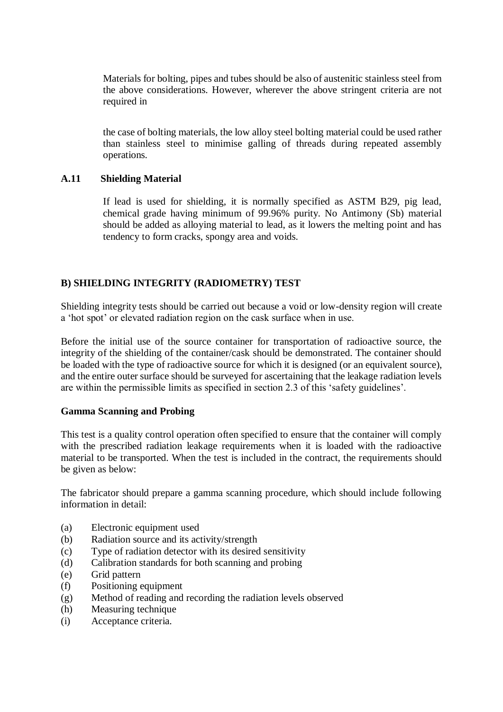Materials for bolting, pipes and tubes should be also of austenitic stainless steel from the above considerations. However, wherever the above stringent criteria are not required in

the case of bolting materials, the low alloy steel bolting material could be used rather than stainless steel to minimise galling of threads during repeated assembly operations.

## **A.11 Shielding Material**

If lead is used for shielding, it is normally specified as ASTM B29, pig lead, chemical grade having minimum of 99.96% purity. No Antimony (Sb) material should be added as alloying material to lead, as it lowers the melting point and has tendency to form cracks, spongy area and voids.

# **B) SHIELDING INTEGRITY (RADIOMETRY) TEST**

Shielding integrity tests should be carried out because a void or low-density region will create a 'hot spot' or elevated radiation region on the cask surface when in use.

Before the initial use of the source container for transportation of radioactive source, the integrity of the shielding of the container/cask should be demonstrated. The container should be loaded with the type of radioactive source for which it is designed (or an equivalent source), and the entire outer surface should be surveyed for ascertaining that the leakage radiation levels are within the permissible limits as specified in section 2.3 of this 'safety guidelines'.

### **Gamma Scanning and Probing**

This test is a quality control operation often specified to ensure that the container will comply with the prescribed radiation leakage requirements when it is loaded with the radioactive material to be transported. When the test is included in the contract, the requirements should be given as below:

The fabricator should prepare a gamma scanning procedure, which should include following information in detail:

- (a) Electronic equipment used
- (b) Radiation source and its activity/strength
- (c) Type of radiation detector with its desired sensitivity
- (d) Calibration standards for both scanning and probing
- (e) Grid pattern
- (f) Positioning equipment
- (g) Method of reading and recording the radiation levels observed
- (h) Measuring technique
- (i) Acceptance criteria.